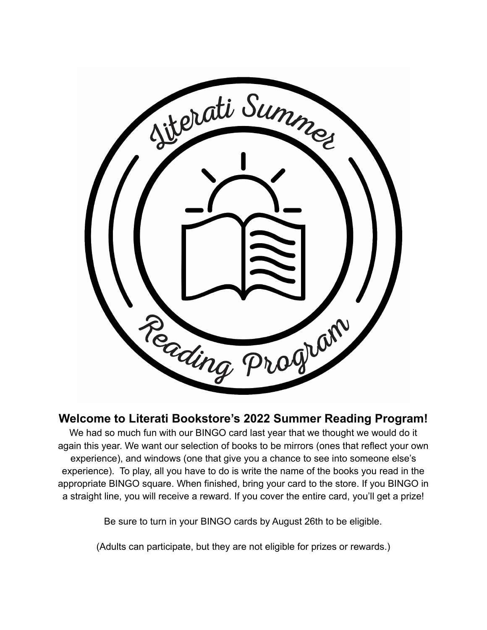

## **Welcome to Literati Bookstore's 2022 Summer Reading Program!**

We had so much fun with our BINGO card last year that we thought we would do it again this year. We want our selection of books to be mirrors (ones that reflect your own experience), and windows (one that give you a chance to see into someone else's experience). To play, all you have to do is write the name of the books you read in the appropriate BINGO square. When finished, bring your card to the store. If you BINGO in a straight line, you will receive a reward. If you cover the entire card, you'll get a prize!

Be sure to turn in your BINGO cards by August 26th to be eligible.

(Adults can participate, but they are not eligible for prizes or rewards.)